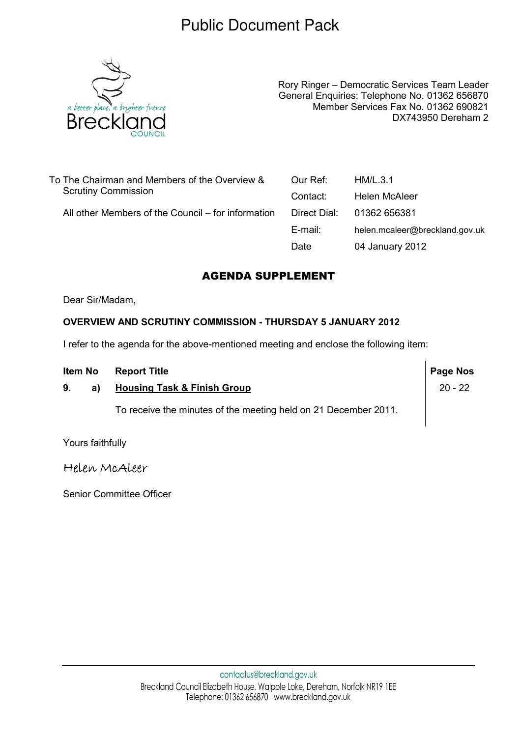## Public Document Pack



Rory Ringer – Democratic Services Team Leader General Enquiries: Telephone No. 01362 656870 Member Services Fax No. 01362 690821 DX743950 Dereham 2

| To The Chairman and Members of the Overview &<br><b>Scrutiny Commission</b> | Our Ref:     | HM/L.3.1                       |
|-----------------------------------------------------------------------------|--------------|--------------------------------|
|                                                                             | Contact:     | Helen McAleer                  |
| All other Members of the Council – for information                          | Direct Dial: | 01362 656381                   |
|                                                                             | E-mail:      | helen.mcaleer@breckland.gov.uk |
|                                                                             | Date         | 04 January 2012                |
|                                                                             |              |                                |

## AGENDA SUPPLEMENT

Dear Sir/Madam,

#### OVERVIEW AND SCRUTINY COMMISSION - THURSDAY 5 JANUARY 2012

I refer to the agenda for the above-mentioned meeting and enclose the following item:

| Item No |    | <b>Report Title</b>                                             | Page Nos  |
|---------|----|-----------------------------------------------------------------|-----------|
| 9.      | a) | <b>Housing Task &amp; Finish Group</b>                          | $20 - 22$ |
|         |    | To receive the minutes of the meeting held on 21 December 2011. |           |

Yours faithfully

Helen McAleer

Senior Committee Officer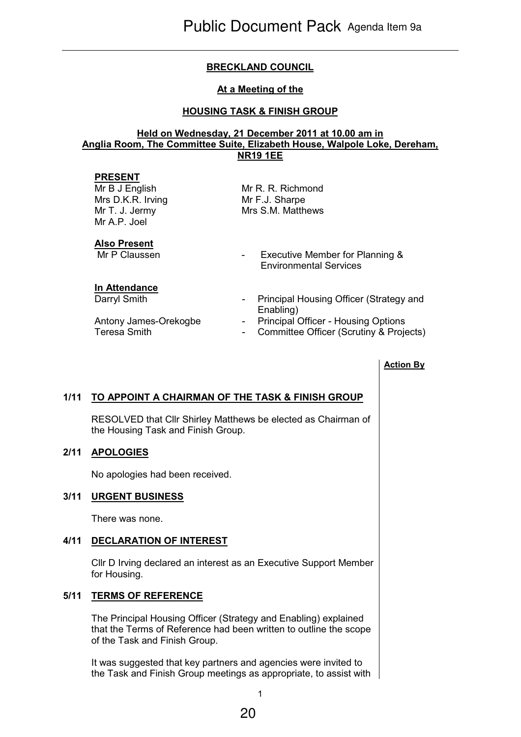## BRECKLAND COUNCIL

#### At a Meeting of the

### HOUSING TASK & FINISH GROUP

#### Held on Wednesday, 21 December 2011 at 10.00 am in Anglia Room, The Committee Suite, Elizabeth House, Walpole Loke, Dereham, NR19 1EE

#### PRESENT

Mr B J English Mrs D.K.R. Irving Mr T. J. Jermy Mr A.P. Joel

Mr R. R. Richmond Mr F.J. Sharpe Mrs S.M. Matthews

# **Also Present**<br>Mr P Claussen

#### In Attendance

- Executive Member for Planning & Environmental Services
- Darryl Smith **Darryl Smith** Principal Housing Officer (Strategy and Enabling)
- Antony James-Orekogbe Principal Officer Housing Options
- Teresa Smith **Teresa Smith** Committee Officer (Scrutiny & Projects)

#### Action By

## 1/11 TO APPOINT A CHAIRMAN OF THE TASK & FINISH GROUP

 RESOLVED that Cllr Shirley Matthews be elected as Chairman of the Housing Task and Finish Group.

#### 2/11 APOLOGIES

No apologies had been received.

#### 3/11 URGENT BUSINESS

There was none.

#### 4/11 DECLARATION OF INTEREST

 Cllr D Irving declared an interest as an Executive Support Member for Housing.

#### 5/11 TERMS OF REFERENCE

 The Principal Housing Officer (Strategy and Enabling) explained that the Terms of Reference had been written to outline the scope of the Task and Finish Group.

It was suggested that key partners and agencies were invited to the Task and Finish Group meetings as appropriate, to assist with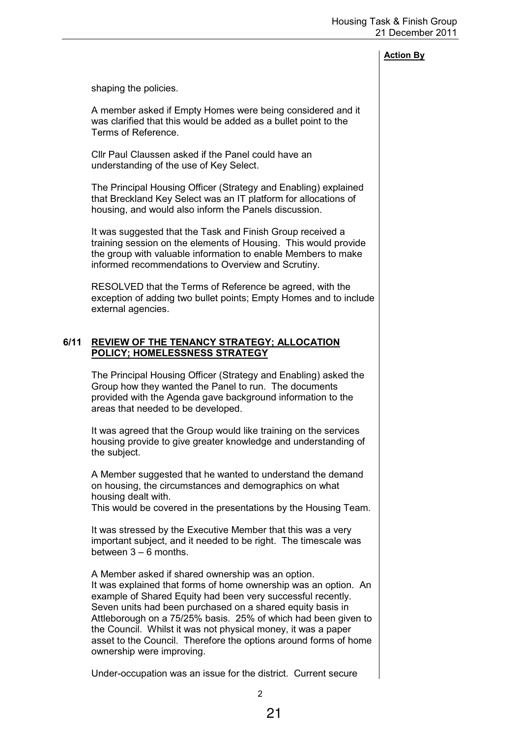#### Action By

shaping the policies.

A member asked if Empty Homes were being considered and it was clarified that this would be added as a bullet point to the Terms of Reference.

Cllr Paul Claussen asked if the Panel could have an understanding of the use of Key Select.

The Principal Housing Officer (Strategy and Enabling) explained that Breckland Key Select was an IT platform for allocations of housing, and would also inform the Panels discussion.

It was suggested that the Task and Finish Group received a training session on the elements of Housing. This would provide the group with valuable information to enable Members to make informed recommendations to Overview and Scrutiny.

RESOLVED that the Terms of Reference be agreed, with the exception of adding two bullet points; Empty Homes and to include external agencies.

#### 6/11 REVIEW OF THE TENANCY STRATEGY; ALLOCATION POLICY; HOMELESSNESS STRATEGY

 The Principal Housing Officer (Strategy and Enabling) asked the Group how they wanted the Panel to run. The documents provided with the Agenda gave background information to the areas that needed to be developed.

It was agreed that the Group would like training on the services housing provide to give greater knowledge and understanding of the subject.

A Member suggested that he wanted to understand the demand on housing, the circumstances and demographics on what housing dealt with.

This would be covered in the presentations by the Housing Team.

It was stressed by the Executive Member that this was a very important subject, and it needed to be right. The timescale was between  $3 - 6$  months.

A Member asked if shared ownership was an option. It was explained that forms of home ownership was an option. An example of Shared Equity had been very successful recently. Seven units had been purchased on a shared equity basis in Attleborough on a 75/25% basis. 25% of which had been given to the Council. Whilst it was not physical money, it was a paper asset to the Council. Therefore the options around forms of home ownership were improving.

Under-occupation was an issue for the district. Current secure